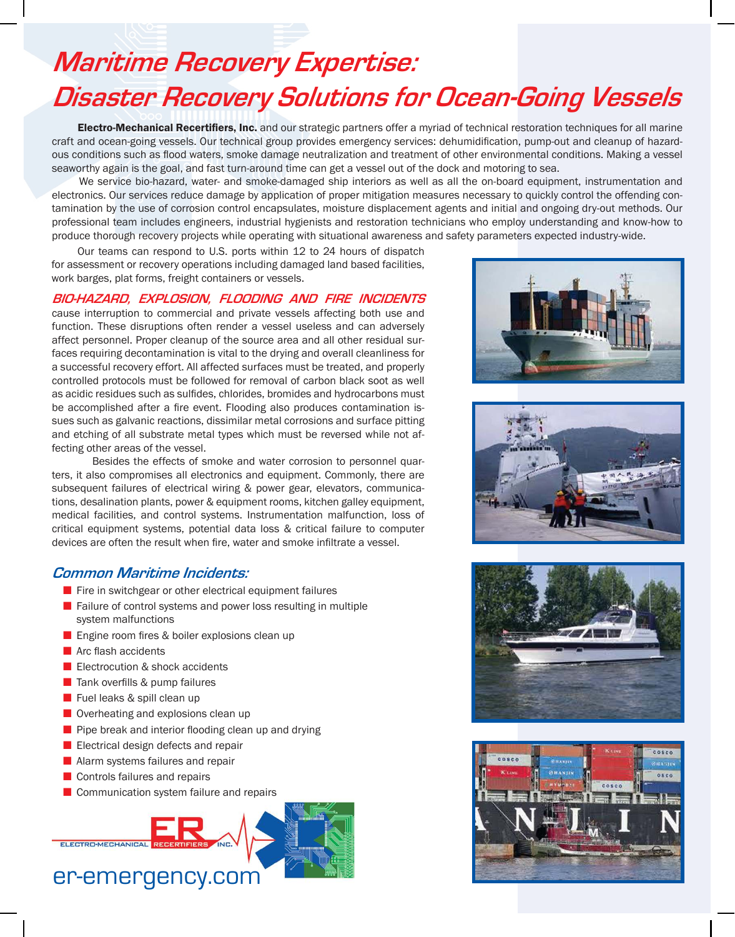# **Maritime Recovery Expertise: Disaster Recovery Solutions for Ocean-Going Vessels**

Electro-Mechanical Recertifiers, Inc. and our strategic partners offer a myriad of technical restoration techniques for all marine craft and ocean-going vessels. Our technical group provides emergency services: dehumidification, pump-out and cleanup of hazardous conditions such as flood waters, smoke damage neutralization and treatment of other environmental conditions. Making a vessel seaworthy again is the goal, and fast turn-around time can get a vessel out of the dock and motoring to sea.

 We service bio-hazard, water- and smoke-damaged ship interiors as well as all the on-board equipment, instrumentation and electronics. Our services reduce damage by application of proper mitigation measures necessary to quickly control the offending contamination by the use of corrosion control encapsulates, moisture displacement agents and initial and ongoing dry-out methods. Our professional team includes engineers, industrial hygienists and restoration technicians who employ understanding and know-how to produce thorough recovery projects while operating with situational awareness and safety parameters expected industry-wide.

 Our teams can respond to U.S. ports within 12 to 24 hours of dispatch for assessment or recovery operations including damaged land based facilities, work barges, plat forms, freight containers or vessels.

#### **BIO-HAZARD, EXPLOSION, FLOODING AND FIRE INCIDENTS**

cause interruption to commercial and private vessels affecting both use and function. These disruptions often render a vessel useless and can adversely affect personnel. Proper cleanup of the source area and all other residual surfaces requiring decontamination is vital to the drying and overall cleanliness for a successful recovery effort. All affected surfaces must be treated, and properly controlled protocols must be followed for removal of carbon black soot as well as acidic residues such as sulfides, chlorides, bromides and hydrocarbons must be accomplished after a fire event. Flooding also produces contamination issues such as galvanic reactions, dissimilar metal corrosions and surface pitting and etching of all substrate metal types which must be reversed while not affecting other areas of the vessel.

 Besides the effects of smoke and water corrosion to personnel quarters, it also compromises all electronics and equipment. Commonly, there are subsequent failures of electrical wiring & power gear, elevators, communications, desalination plants, power & equipment rooms, kitchen galley equipment, medical facilities, and control systems. Instrumentation malfunction, loss of critical equipment systems, potential data loss & critical failure to computer devices are often the result when fire, water and smoke infiltrate a vessel.

### **Common Maritime Incidents:**

- $\blacksquare$  Fire in switchgear or other electrical equipment failures
- $\blacksquare$  Failure of control systems and power loss resulting in multiple system malfunctions
- **E** Engine room fires & boiler explosions clean up
- $\blacksquare$  Arc flash accidents
- $\blacksquare$  Electrocution & shock accidents
- $\blacksquare$  Tank overfills & pump failures
- $\blacksquare$  Fuel leaks & spill clean up
- $\blacksquare$  Overheating and explosions clean up
- $\blacksquare$  Pipe break and interior flooding clean up and drying
- $\blacksquare$  Electrical design defects and repair
- $\blacksquare$  Alarm systems failures and repair
- $\blacksquare$  Controls failures and repairs

ELECTRO-MECHANICAL

 $\blacksquare$  Communication system failure and repairs



## er-emergency.com